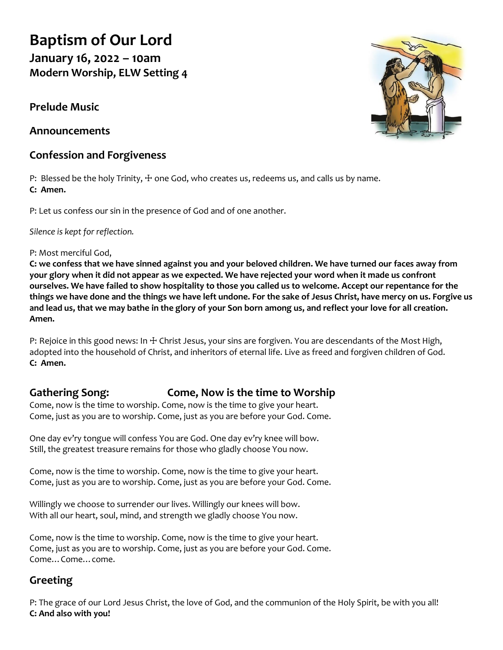# **Baptism of Our Lord**

**January 16, 2022 – 10am Modern Worship, ELW Setting 4**

**Prelude Music**

**Announcements**

# **Confession and Forgiveness**

P: Blessed be the holy Trinity,  $\pm$  one God, who creates us, redeems us, and calls us by name. **C: Amen.**

P: Let us confess our sin in the presence of God and of one another.

*Silence is kept for reflection.*

# P: Most merciful God,

**C: we confess that we have sinned against you and your beloved children. We have turned our faces away from your glory when it did not appear as we expected. We have rejected your word when it made us confront ourselves. We have failed to show hospitality to those you called us to welcome. Accept our repentance for the things we have done and the things we have left undone. For the sake of Jesus Christ, have mercy on us. Forgive us and lead us, that we may bathe in the glory of your Son born among us, and reflect your love for all creation. Amen.**

P: Rejoice in this good news: In  $+$  Christ Jesus, your sins are forgiven. You are descendants of the Most High, adopted into the household of Christ, and inheritors of eternal life. Live as freed and forgiven children of God. **C: Amen.**

# **Gathering Song: Come, Now is the time to Worship**

Come, now is the time to worship. Come, now is the time to give your heart. Come, just as you are to worship. Come, just as you are before your God. Come.

One day ev'ry tongue will confess You are God. One day ev'ry knee will bow. Still, the greatest treasure remains for those who gladly choose You now.

Come, now is the time to worship. Come, now is the time to give your heart. Come, just as you are to worship. Come, just as you are before your God. Come.

Willingly we choose to surrender our lives. Willingly our knees will bow. With all our heart, soul, mind, and strength we gladly choose You now.

Come, now is the time to worship. Come, now is the time to give your heart. Come, just as you are to worship. Come, just as you are before your God. Come. Come…Come…come.

# **Greeting**

P: The grace of our Lord Jesus Christ, the love of God, and the communion of the Holy Spirit, be with you all! **C: And also with you!**

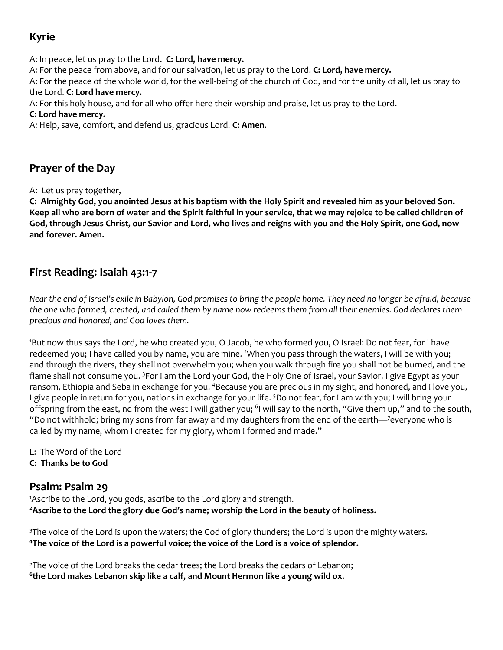# **Kyrie**

A: In peace, let us pray to the Lord. **C: Lord, have mercy.**

A: For the peace from above, and for our salvation, let us pray to the Lord. **C: Lord, have mercy.**

A: For the peace of the whole world, for the well-being of the church of God, and for the unity of all, let us pray to the Lord. **C: Lord have mercy.**

A: For this holy house, and for all who offer here their worship and praise, let us pray to the Lord.

#### **C: Lord have mercy.**

A: Help, save, comfort, and defend us, gracious Lord. **C: Amen.**

# **Prayer of the Day**

A: Let us pray together,

**C: Almighty God, you anointed Jesus at his baptism with the Holy Spirit and revealed him as your beloved Son. Keep all who are born of water and the Spirit faithful in your service, that we may rejoice to be called children of God, through Jesus Christ, our Savior and Lord, who lives and reigns with you and the Holy Spirit, one God, now and forever. Amen.**

# **First Reading: Isaiah 43:1-7**

*Near the end of Israel's exile in Babylon, God promises to bring the people home. They need no longer be afraid, because the one who formed, created, and called them by name now redeems them from all their enemies. God declares them precious and honored, and God loves them.*

<sup>1</sup>But now thus says the Lord, he who created you, O Jacob, he who formed you, O Israel: Do not fear, for I have redeemed you; I have called you by name, you are mine. <sup>2</sup>When you pass through the waters, I will be with you; and through the rivers, they shall not overwhelm you; when you walk through fire you shall not be burned, and the flame shall not consume you. <sup>3</sup>For I am the Lord your God, the Holy One of Israel, your Savior. I give Egypt as your ransom, Ethiopia and Seba in exchange for you. <sup>4</sup>Because you are precious in my sight, and honored, and I love you, I give people in return for you, nations in exchange for your life. <sup>5</sup>Do not fear, for I am with you; I will bring your offspring from the east, nd from the west I will gather you; <sup>6</sup>I will say to the north, "Give them up," and to the south, "Do not withhold; bring my sons from far away and my daughters from the end of the earth—<sup>7</sup>everyone who is called by my name, whom I created for my glory, whom I formed and made."

L: The Word of the Lord **C: Thanks be to God**

# **Psalm: Psalm 29**

<sup>1</sup>Ascribe to the Lord, you gods, ascribe to the Lord glory and strength. **<sup>2</sup>Ascribe to the Lord the glory due God's name; worship the Lord in the beauty of holiness.**

<sup>3</sup>The voice of the Lord is upon the waters; the God of glory thunders; the Lord is upon the mighty waters. **<sup>4</sup>The voice of the Lord is a powerful voice; the voice of the Lord is a voice of splendor.**

<sup>5</sup>The voice of the Lord breaks the cedar trees; the Lord breaks the cedars of Lebanon; **6 the Lord makes Lebanon skip like a calf, and Mount Hermon like a young wild ox.**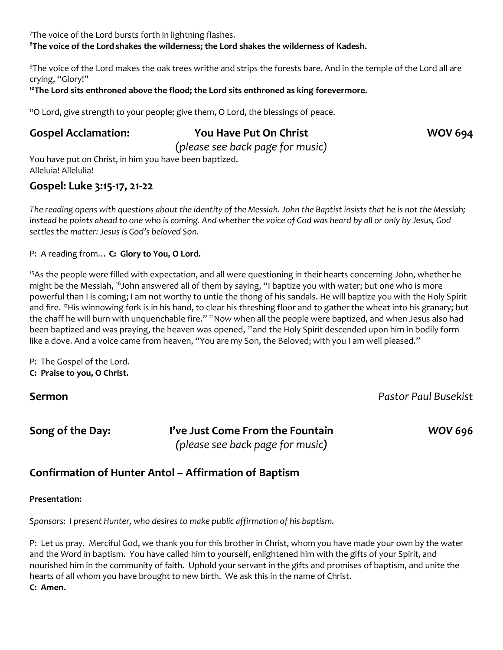<sup>7</sup>The voice of the Lord bursts forth in lightning flashes. **<sup>8</sup>The voice of the Lord shakes the wilderness; the Lord shakes the wilderness of Kadesh.**

<sup>9</sup>The voice of the Lord makes the oak trees writhe and strips the forests bare. And in the temple of the Lord all are crying, "Glory!"

### **<sup>10</sup>The Lord sits enthroned above the flood; the Lord sits enthroned as king forevermore.**

<sup>11</sup>O Lord, give strength to your people; give them, O Lord, the blessings of peace.

# **Gospel Acclamation: You Have Put On Christ WOV 694**

(*please see back page for music)*

You have put on Christ, in him you have been baptized. Alleluia! Allelulia!

# **Gospel: Luke 3:15-17, 21-22**

*The reading opens with questions about the identity of the Messiah. John the Baptist insists that he is not the Messiah; instead he points ahead to one who is coming. And whether the voice of God was heard by all or only by Jesus, God settles the matter: Jesus is God's beloved Son.*

P: A reading from… **C: Glory to You, O Lord.**

<sup>15</sup>As the people were filled with expectation, and all were questioning in their hearts concerning John, whether he might be the Messiah, <sup>16</sup>John answered all of them by saying, "I baptize you with water; but one who is more powerful than I is coming; I am not worthy to untie the thong of his sandals. He will baptize you with the Holy Spirit and fire. <sup>17</sup>His winnowing fork is in his hand, to clear his threshing floor and to gather the wheat into his granary; but the chaff he will burn with unquenchable fire." <sup>21</sup>Now when all the people were baptized, and when Jesus also had been baptized and was praying, the heaven was opened, <sup>22</sup>and the Holy Spirit descended upon him in bodily form like a dove. And a voice came from heaven, "You are my Son, the Beloved; with you I am well pleased."

P: The Gospel of the Lord. **C: Praise to you, O Christ.**

**Sermon** *Pastor Paul Busekist*

**Song of the Day: I've Just Come From the Fountain** *WOV 696 (please see back page for music)*

# **Confirmation of Hunter Antol – Affirmation of Baptism**

#### **Presentation:**

*Sponsors: I present Hunter, who desires to make public affirmation of his baptism.*

P: Let us pray. Merciful God, we thank you for this brother in Christ, whom you have made your own by the water and the Word in baptism. You have called him to yourself, enlightened him with the gifts of your Spirit, and nourished him in the community of faith. Uphold your servant in the gifts and promises of baptism, and unite the hearts of all whom you have brought to new birth. We ask this in the name of Christ. **C: Amen.**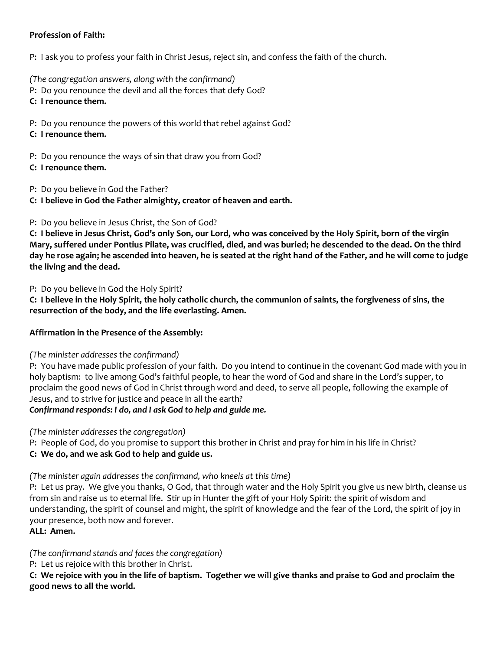#### **Profession of Faith:**

P: I ask you to profess your faith in Christ Jesus, reject sin, and confess the faith of the church.

*(The congregation answers, along with the confirmand)*

- P: Do you renounce the devil and all the forces that defy God?
- **C: I renounce them.**

P: Do you renounce the powers of this world that rebel against God?

#### **C: I renounce them.**

P: Do you renounce the ways of sin that draw you from God?

**C: I renounce them.**

P: Do you believe in God the Father?

**C: I believe in God the Father almighty, creator of heaven and earth.**

P: Do you believe in Jesus Christ, the Son of God?

**C: I believe in Jesus Christ, God's only Son, our Lord, who was conceived by the Holy Spirit, born of the virgin Mary, suffered under Pontius Pilate, was crucified, died, and was buried; he descended to the dead. On the third day he rose again; he ascended into heaven, he is seated at the right hand of the Father, and he will come to judge the living and the dead.**

P: Do you believe in God the Holy Spirit?

**C: I believe in the Holy Spirit, the holy catholic church, the communion of saints, the forgiveness of sins, the resurrection of the body, and the life everlasting. Amen.**

#### **Affirmation in the Presence of the Assembly:**

*(The minister addresses the confirmand)*

P: You have made public profession of your faith. Do you intend to continue in the covenant God made with you in holy baptism: to live among God's faithful people, to hear the word of God and share in the Lord's supper, to proclaim the good news of God in Christ through word and deed, to serve all people, following the example of Jesus, and to strive for justice and peace in all the earth?

*Confirmand responds: I do, and I ask God to help and guide me.*

*(The minister addresses the congregation)*

P: People of God, do you promise to support this brother in Christ and pray for him in his life in Christ? **C: We do, and we ask God to help and guide us.**

### *(The minister again addresses the confirmand, who kneels at this time)*

P: Let us pray. We give you thanks, O God, that through water and the Holy Spirit you give us new birth, cleanse us from sin and raise us to eternal life. Stir up in Hunter the gift of your Holy Spirit: the spirit of wisdom and understanding, the spirit of counsel and might, the spirit of knowledge and the fear of the Lord, the spirit of joy in your presence, both now and forever.

#### **ALL: Amen.**

*(The confirmand stands and faces the congregation)*

P: Let us rejoice with this brother in Christ.

**C: We rejoice with you in the life of baptism. Together we will give thanks and praise to God and proclaim the good news to all the world.**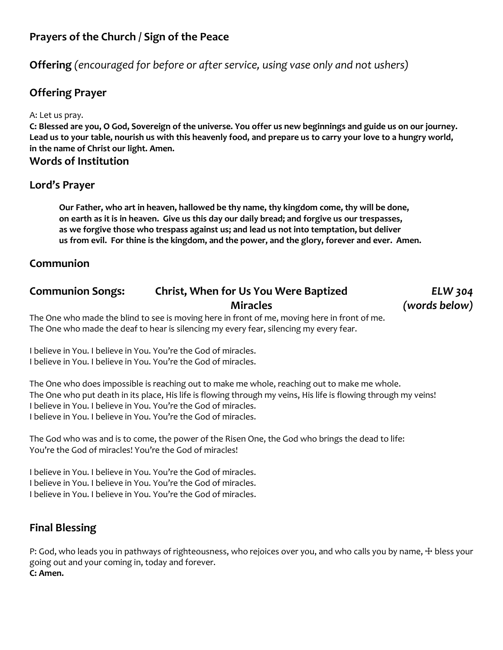# **Prayers of the Church / Sign of the Peace**

**Offering** *(encouraged for before or after service, using vase only and not ushers)*

# **Offering Prayer**

### A: Let us pray.

**C: Blessed are you, O God, Sovereign of the universe. You offer us new beginnings and guide us on our journey. Lead us to your table, nourish us with this heavenly food, and prepare us to carry your love to a hungry world, in the name of Christ our light. Amen.**

## **Words of Institution**

# **Lord's Prayer**

**Our Father, who art in heaven, hallowed be thy name, thy kingdom come, thy will be done, on earth as it is in heaven. Give us this day our daily bread; and forgive us our trespasses, as we forgive those who trespass against us; and lead us not into temptation, but deliver us from evil. For thine is the kingdom, and the power, and the glory, forever and ever. Amen.**

# **Communion**

| <b>Communion Songs:</b> | <b>Christ, When for Us You Were Baptized</b> | <b>ELW 304</b> |
|-------------------------|----------------------------------------------|----------------|
|                         | <b>Miracles</b>                              | (words below)  |

The One who made the blind to see is moving here in front of me, moving here in front of me. The One who made the deaf to hear is silencing my every fear, silencing my every fear.

I believe in You. I believe in You. You're the God of miracles. I believe in You. I believe in You. You're the God of miracles.

The One who does impossible is reaching out to make me whole, reaching out to make me whole. The One who put death in its place, His life is flowing through my veins, His life is flowing through my veins! I believe in You. I believe in You. You're the God of miracles. I believe in You. I believe in You. You're the God of miracles.

The God who was and is to come, the power of the Risen One, the God who brings the dead to life: You're the God of miracles! You're the God of miracles!

I believe in You. I believe in You. You're the God of miracles. I believe in You. I believe in You. You're the God of miracles. I believe in You. I believe in You. You're the God of miracles.

# **Final Blessing**

P: God, who leads you in pathways of righteousness, who rejoices over you, and who calls you by name,  $\pm$  bless your going out and your coming in, today and forever. **C: Amen.**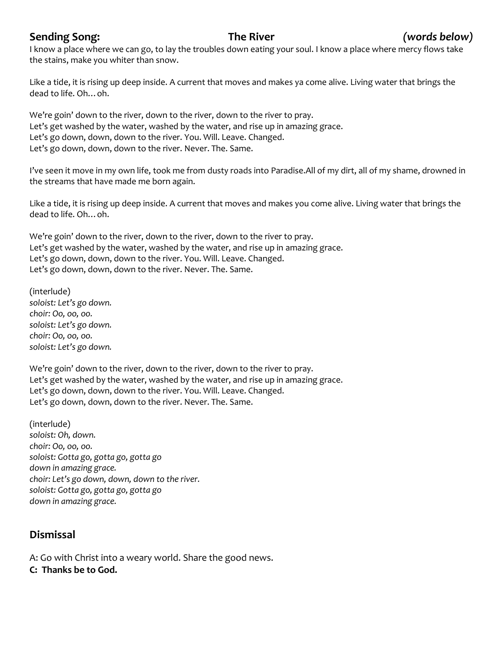# **Sending Song: The River** *(words below)*

I know a place where we can go, to lay the troubles down eating your soul. I know a place where mercy flows take the stains, make you whiter than snow.

Like a tide, it is rising up deep inside. A current that moves and makes ya come alive. Living water that brings the dead to life. Oh…oh.

We're goin' down to the river, down to the river, down to the river to pray. Let's get washed by the water, washed by the water, and rise up in amazing grace. Let's go down, down, down to the river. You. Will. Leave. Changed. Let's go down, down, down to the river. Never. The. Same.

I've seen it move in my own life, took me from dusty roads into Paradise.All of my dirt, all of my shame, drowned in the streams that have made me born again.

Like a tide, it is rising up deep inside. A current that moves and makes you come alive. Living water that brings the dead to life. Oh…oh.

We're goin' down to the river, down to the river, down to the river to pray. Let's get washed by the water, washed by the water, and rise up in amazing grace. Let's go down, down, down to the river. You. Will. Leave. Changed. Let's go down, down, down to the river. Never. The. Same.

(interlude) *soloist: Let's go down. choir: Oo, oo, oo. soloist: Let's go down. choir: Oo, oo, oo. soloist: Let's go down.*

We're goin' down to the river, down to the river, down to the river to pray. Let's get washed by the water, washed by the water, and rise up in amazing grace. Let's go down, down, down to the river. You. Will. Leave. Changed. Let's go down, down, down to the river. Never. The. Same.

(interlude) *soloist: Oh, down. choir: Oo, oo, oo. soloist: Gotta go, gotta go, gotta go down in amazing grace. choir: Let's go down, down, down to the river. soloist: Gotta go, gotta go, gotta go down in amazing grace.*

# **Dismissal**

A: Go with Christ into a weary world. Share the good news. **C: Thanks be to God.**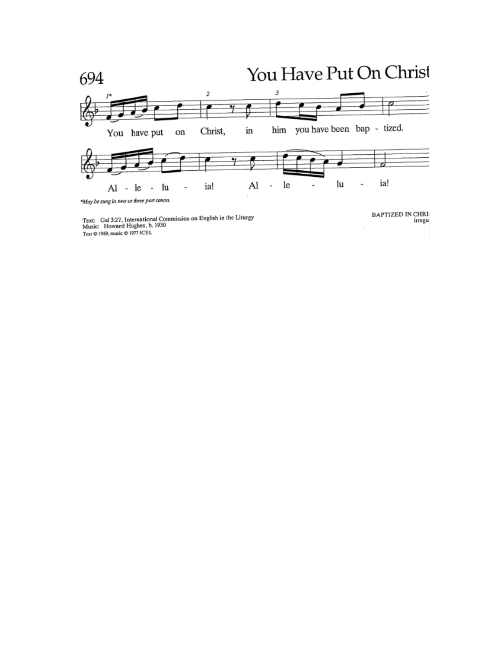

Text: Gal 3:27, International Commission on English in the Liturgy<br>Music: Howard Hughes, b. 1930<br>Text © 1969, music © 1977 ICEL

irregu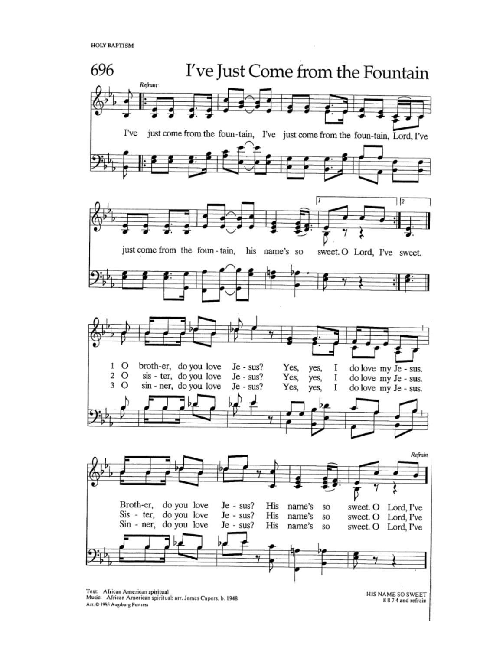**HOLY BAPTISM** 



Text: African American spiritual<br>Music: African American spiritual; arr. James Capers, b. 1948 Arr. @ 1995 Augsburg Fortress

HIS NAME SO SWEET 8874 and refrain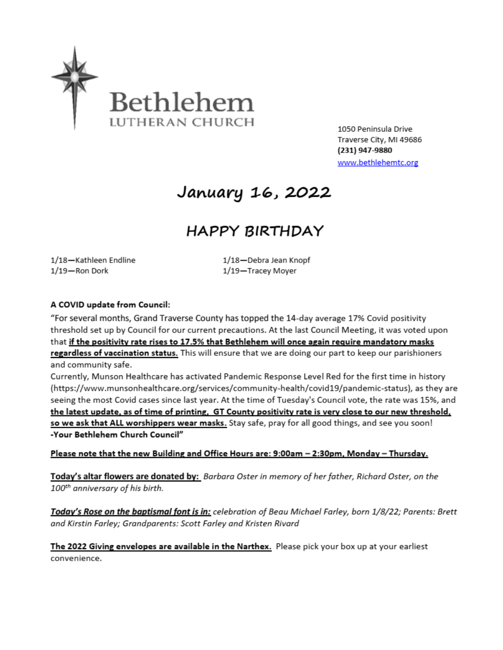

1050 Peninsula Drive Traverse City, MI 49686 (231) 947-9880 www.bethlehemtc.org

# January 16, 2022

# **HAPPY BIRTHDAY**

1/18-Kathleen Endline 1/19-Ron Dork

1/18-Debra Jean Knopf 1/19-Tracey Moyer

#### A COVID update from Council:

"For several months, Grand Traverse County has topped the 14-day average 17% Covid positivity threshold set up by Council for our current precautions. At the last Council Meeting, it was voted upon that if the positivity rate rises to 17.5% that Bethlehem will once again require mandatory masks regardless of vaccination status. This will ensure that we are doing our part to keep our parishioners and community safe.

Currently, Munson Healthcare has activated Pandemic Response Level Red for the first time in history (https://www.munsonhealthcare.org/services/community-health/covid19/pandemic-status), as they are seeing the most Covid cases since last year. At the time of Tuesday's Council vote, the rate was 15%, and the latest update, as of time of printing, GT County positivity rate is very close to our new threshold, so we ask that ALL worshippers wear masks. Stay safe, pray for all good things, and see you soon! -Your Bethlehem Church Council"

Please note that the new Building and Office Hours are: 9:00am - 2:30pm, Monday - Thursday.

Today's altar flowers are donated by: Barbara Oster in memory of her father, Richard Oster, on the 100<sup>th</sup> anniversary of his birth.

Today's Rose on the baptismal font is in: celebration of Beau Michael Farley, born 1/8/22; Parents: Brett and Kirstin Farley; Grandparents: Scott Farley and Kristen Rivard

The 2022 Giving envelopes are available in the Narthex. Please pick your box up at your earliest convenience.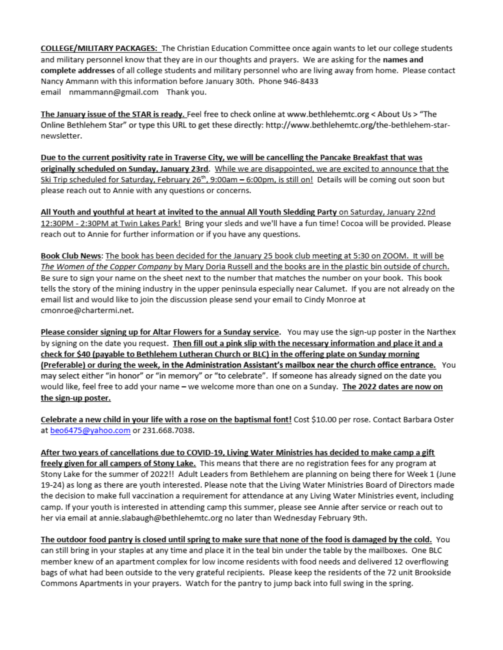COLLEGE/MILITARY PACKAGES: The Christian Education Committee once again wants to let our college students and military personnel know that they are in our thoughts and prayers. We are asking for the names and complete addresses of all college students and military personnel who are living away from home. Please contact Nancy Ammann with this information before January 30th. Phone 946-8433 email nmammann@gmail.com Thank you.

The January issue of the STAR is ready. Feel free to check online at www.bethlehemtc.org < About Us > "The Online Bethlehem Star" or type this URL to get these directly: http://www.bethlehemtc.org/the-bethlehem-starnewsletter.

Due to the current positivity rate in Traverse City, we will be cancelling the Pancake Breakfast that was originally scheduled on Sunday, January 23rd. While we are disappointed, we are excited to announce that the Ski Trip scheduled for Saturday, February 26<sup>th</sup>, 9:00am - 6:00pm, is still on! Details will be coming out soon but please reach out to Annie with any questions or concerns.

All Youth and youthful at heart at invited to the annual All Youth Sledding Party on Saturday, January 22nd 12:30PM - 2:30PM at Twin Lakes Park! Bring your sleds and we'll have a fun time! Cocoa will be provided. Please reach out to Annie for further information or if you have any questions.

Book Club News: The book has been decided for the January 25 book club meeting at 5:30 on ZOOM. It will be The Women of the Copper Company by Mary Doria Russell and the books are in the plastic bin outside of church. Be sure to sign your name on the sheet next to the number that matches the number on your book. This book tells the story of the mining industry in the upper peninsula especially near Calumet. If you are not already on the email list and would like to join the discussion please send your email to Cindy Monroe at cmonroe@chartermi.net.

Please consider signing up for Altar Flowers for a Sunday service. You may use the sign-up poster in the Narthex by signing on the date you request. Then fill out a pink slip with the necessary information and place it and a check for \$40 (payable to Bethlehem Lutheran Church or BLC) in the offering plate on Sunday morning (Preferable) or during the week, in the Administration Assistant's mailbox near the church office entrance. You may select either "in honor" or "in memory" or "to celebrate". If someone has already signed on the date you would like, feel free to add your name - we welcome more than one on a Sunday. The 2022 dates are now on the sign-up poster.

Celebrate a new child in your life with a rose on the baptismal font! Cost \$10.00 per rose. Contact Barbara Oster at beo6475@yahoo.com or 231.668.7038.

After two years of cancellations due to COVID-19, Living Water Ministries has decided to make camp a gift freely given for all campers of Stony Lake. This means that there are no registration fees for any program at Stony Lake for the summer of 2022!! Adult Leaders from Bethlehem are planning on being there for Week 1 (June 19-24) as long as there are youth interested. Please note that the Living Water Ministries Board of Directors made the decision to make full vaccination a requirement for attendance at any Living Water Ministries event, including camp. If your youth is interested in attending camp this summer, please see Annie after service or reach out to her via email at annie.slabaugh@bethlehemtc.org no later than Wednesday February 9th.

The outdoor food pantry is closed until spring to make sure that none of the food is damaged by the cold. You can still bring in your staples at any time and place it in the teal bin under the table by the mailboxes. One BLC member knew of an apartment complex for low income residents with food needs and delivered 12 overflowing bags of what had been outside to the very grateful recipients. Please keep the residents of the 72 unit Brookside Commons Apartments in your prayers. Watch for the pantry to jump back into full swing in the spring.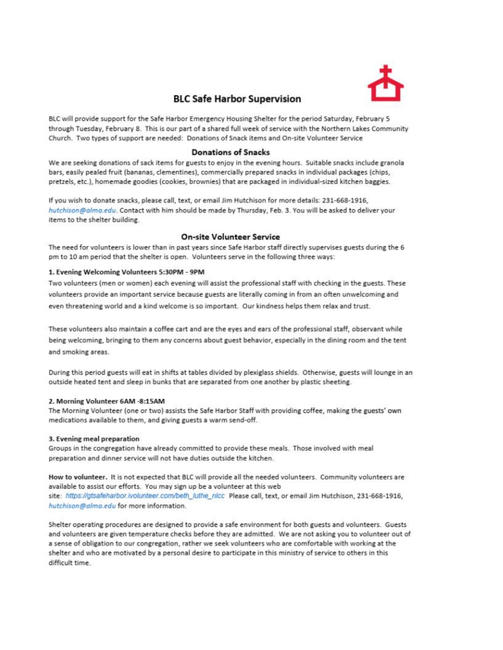

#### **BLC Safe Harbor Supervision**

BLC will provide support for the Safe Harbor Emergency Housing Shelter for the period Saturday, February 5 through Tuesday, February 8. This is our part of a shared full week of service with the Northern Lakes Community Church. Two types of support are needed: Donations of Snack items and On-site Volunteer Service

#### **Donations of Snacks**

We are seeking donations of sack items for guests to enjoy in the evening hours. Suitable snacks include granola bars, easily pealed fruit (bananas, clementines), commercially prepared snacks in individual packages (chips, pretzels, etc.), homemade goodies (cookies, brownies) that are packaged in individual-sized kitchen baggies.

If you wish to donate snacks, please call, text, or email Jim Hutchison for more details: 231-668-1916, hutchison@alma.edu. Contact with him should be made by Thursday, Feb. 3. You will be asked to deliver your items to the shelter building.

#### **On-site Volunteer Service**

The need for volunteers is lower than in past vears since Safe Harbor staff directly supervises guests during the 6 pm to 10 am period that the shelter is open. Volunteers serve in the following three ways:

#### 1. Evening Welcoming Volunteers 5:30PM - 9PM

Two volunteers (men or women) each evening will assist the professional staff with checking in the guests. These volunteers provide an important service because guests are literally coming in from an often unwelcoming and even threatening world and a kind welcome is so important. Our kindness helps them relax and trust.

These volunteers also maintain a coffee cart and are the eyes and ears of the professional staff, observant while being welcoming, bringing to them any concerns about guest behavior, especially in the dining room and the tent and smoking areas.

During this period guests will eat in shifts at tables divided by plexiglass shields. Otherwise, guests will lounge in an outside heated tent and sleep in bunks that are separated from one another by plastic sheeting.

#### 2. Morning Volunteer 6AM -8:15AM

The Morning Volunteer (one or two) assists the Safe Harbor Staff with providing coffee, making the guests' own medications available to them, and giving guests a warm send-off.

#### 3. Evening meal preparation

Groups in the congregation have already committed to provide these meals. Those involved with meal preparation and dinner service will not have duties outside the kitchen.

How to volunteer. It is not expected that BLC will provide all the needed volunteers. Community volunteers are available to assist our efforts. You may sign up be a volunteer at this web site: https://gtsafeharbor.ivolunteer.com/beth\_luthe\_nicc\_Please call, text, or email Jim Hutchison, 231-668-1916, hutchison@alma.edu for more information.

Shelter operating procedures are designed to provide a safe environment for both guests and volunteers. Guests and volunteers are given temperature checks before they are admitted. We are not asking you to volunteer out of a sense of obligation to our congregation, rather we seek volunteers who are comfortable with working at the shelter and who are motivated by a personal desire to participate in this ministry of service to others in this difficult time